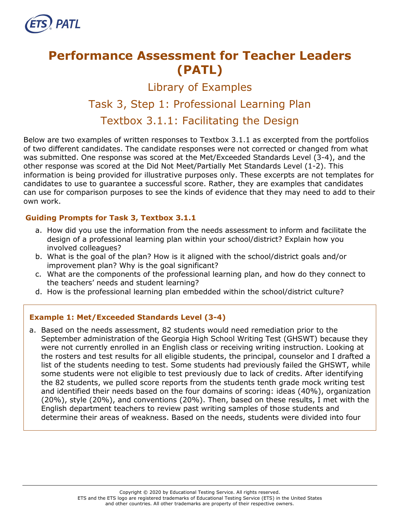

# **Performance Assessment for Teacher Leaders (PATL)**

Library of Examples

## Task 3, Step 1: Professional Learning Plan

### Textbox 3.1.1: Facilitating the Design

Below are two examples of written responses to Textbox 3.1.1 as excerpted from the portfolios of two different candidates. The candidate responses were not corrected or changed from what was submitted. One response was scored at the Met/Exceeded Standards Level (3-4), and the other response was scored at the Did Not Meet/Partially Met Standards Level (1-2). This information is being provided for illustrative purposes only. These excerpts are not templates for candidates to use to guarantee a successful score. Rather, they are examples that candidates can use for comparison purposes to see the kinds of evidence that they may need to add to their own work.

#### **Guiding Prompts for Task 3, Textbox 3.1.1**

- a. How did you use the information from the needs assessment to inform and facilitate the design of a professional learning plan within your school/district? Explain how you involved colleagues?
- b. What is the goal of the plan? How is it aligned with the school/district goals and/or improvement plan? Why is the goal significant?
- c. What are the components of the professional learning plan, and how do they connect to the teachers' needs and student learning?
- d. How is the professional learning plan embedded within the school/district culture?

#### **Example 1: Met/Exceeded Standards Level (3-4)**

a. Based on the needs assessment, 82 students would need remediation prior to the September administration of the Georgia High School Writing Test (GHSWT) because they were not currently enrolled in an English class or receiving writing instruction. Looking at the rosters and test results for all eligible students, the principal, counselor and I drafted a list of the students needing to test. Some students had previously failed the GHSWT, while some students were not eligible to test previously due to lack of credits. After identifying the 82 students, we pulled score reports from the students tenth grade mock writing test and identified their needs based on the four domains of scoring: ideas (40%), organization (20%), style (20%), and conventions (20%). Then, based on these results, I met with the English department teachers to review past writing samples of those students and determine their areas of weakness. Based on the needs, students were divided into four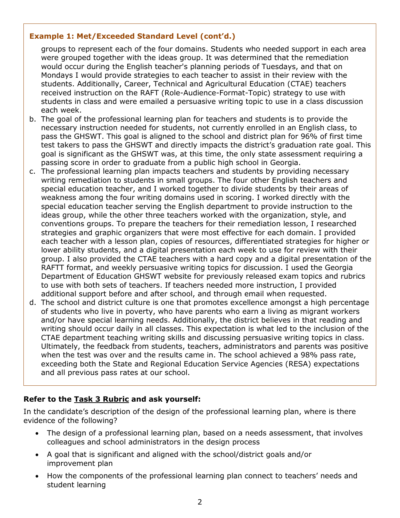#### **Example 1: Met/Exceeded Standard Level (cont'd.)**

groups to represent each of the four domains. Students who needed support in each area were grouped together with the ideas group. It was determined that the remediation would occur during the English teacher's planning periods of Tuesdays, and that on Mondays I would provide strategies to each teacher to assist in their review with the students. Additionally, Career, Technical and Agricultural Education (CTAE) teachers received instruction on the RAFT (Role-Audience-Format-Topic) strategy to use with students in class and were emailed a persuasive writing topic to use in a class discussion each week.

- b. The goal of the professional learning plan for teachers and students is to provide the necessary instruction needed for students, not currently enrolled in an English class, to pass the GHSWT. This goal is aligned to the school and district plan for 96% of first time test takers to pass the GHSWT and directly impacts the district's graduation rate goal. This goal is significant as the GHSWT was, at this time, the only state assessment requiring a passing score in order to graduate from a public high school in Georgia.
- c. The professional learning plan impacts teachers and students by providing necessary writing remediation to students in small groups. The four other English teachers and special education teacher, and I worked together to divide students by their areas of weakness among the four writing domains used in scoring. I worked directly with the special education teacher serving the English department to provide instruction to the ideas group, while the other three teachers worked with the organization, style, and conventions groups. To prepare the teachers for their remediation lesson, I researched strategies and graphic organizers that were most effective for each domain. I provided each teacher with a lesson plan, copies of resources, differentiated strategies for higher or lower ability students, and a digital presentation each week to use for review with their group. I also provided the CTAE teachers with a hard copy and a digital presentation of the RAFTT format, and weekly persuasive writing topics for discussion. I used the Georgia Department of Education GHSWT website for previously released exam topics and rubrics to use with both sets of teachers. If teachers needed more instruction, I provided additional support before and after school, and through email when requested.
- d. The school and district culture is one that promotes excellence amongst a high percentage of students who live in poverty, who have parents who earn a living as migrant workers and/or have special learning needs. Additionally, the district believes in that reading and writing should occur daily in all classes. This expectation is what led to the inclusion of the CTAE department teaching writing skills and discussing persuasive writing topics in class. Ultimately, the feedback from students, teachers, administrators and parents was positive when the test was over and the results came in. The school achieved a 98% pass rate, exceeding both the State and Regional Education Service Agencies (RESA) expectations and all previous pass rates at our school.

#### **Refer to the [Task 3](http://gace.ets.org/s/pdf/gace_teacher_leadership_assessment_task_3_rubric.pdf) Rubric and ask yourself:**

In the candidate's description of the design of the professional learning plan, where is there evidence of the following?

- The design of a professional learning plan, based on a needs assessment, that involves colleagues and school administrators in the design process
- A goal that is significant and aligned with the school/district goals and/or improvement plan
- How the components of the professional learning plan connect to teachers' needs and student learning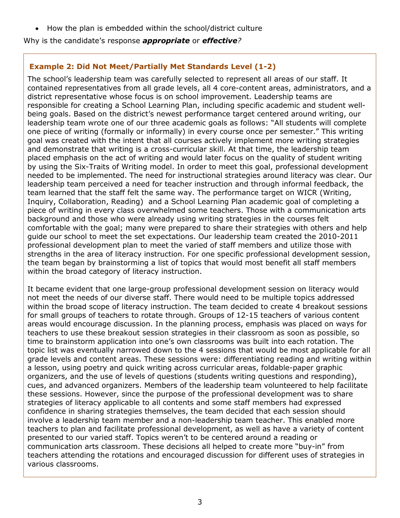• How the plan is embedded within the school/district culture

Why is the candidate's response *appropriate* or *effective?*

#### **Example 2: Did Not Meet/Partially Met Standards Level (1-2)**

The school's leadership team was carefully selected to represent all areas of our staff. It contained representatives from all grade levels, all 4 core-content areas, administrators, and a district representative whose focus is on school improvement. Leadership teams are responsible for creating a School Learning Plan, including specific academic and student wellbeing goals. Based on the district's newest performance target centered around writing, our leadership team wrote one of our three academic goals as follows: "All students will complete one piece of writing (formally or informally) in every course once per semester." This writing goal was created with the intent that all courses actively implement more writing strategies and demonstrate that writing is a cross-curricular skill. At that time, the leadership team placed emphasis on the act of writing and would later focus on the quality of student writing by using the Six-Traits of Writing model. In order to meet this goal, professional development needed to be implemented. The need for instructional strategies around literacy was clear. Our leadership team perceived a need for teacher instruction and through informal feedback, the team learned that the staff felt the same way. The performance target on WICR (Writing, Inquiry, Collaboration, Reading) and a School Learning Plan academic goal of completing a piece of writing in every class overwhelmed some teachers. Those with a communication arts background and those who were already using writing strategies in the courses felt comfortable with the goal; many were prepared to share their strategies with others and help guide our school to meet the set expectations. Our leadership team created the 2010-2011 professional development plan to meet the varied of staff members and utilize those with strengths in the area of literacy instruction. For one specific professional development session, the team began by brainstorming a list of topics that would most benefit all staff members within the broad category of literacy instruction.

It became evident that one large-group professional development session on literacy would not meet the needs of our diverse staff. There would need to be multiple topics addressed within the broad scope of literacy instruction. The team decided to create 4 breakout sessions for small groups of teachers to rotate through. Groups of 12-15 teachers of various content areas would encourage discussion. In the planning process, emphasis was placed on ways for teachers to use these breakout session strategies in their classroom as soon as possible, so time to brainstorm application into one's own classrooms was built into each rotation. The topic list was eventually narrowed down to the 4 sessions that would be most applicable for all grade levels and content areas. These sessions were: differentiating reading and writing within a lesson, using poetry and quick writing across curricular areas, foldable-paper graphic organizers, and the use of levels of questions (students writing questions and responding), cues, and advanced organizers. Members of the leadership team volunteered to help facilitate these sessions. However, since the purpose of the professional development was to share strategies of literacy applicable to all contents and some staff members had expressed confidence in sharing strategies themselves, the team decided that each session should involve a leadership team member and a non-leadership team teacher. This enabled more teachers to plan and facilitate professional development, as well as have a variety of content presented to our varied staff. Topics weren't to be centered around a reading or communication arts classroom. These decisions all helped to create more "buy-in" from teachers attending the rotations and encouraged discussion for different uses of strategies in various classrooms.